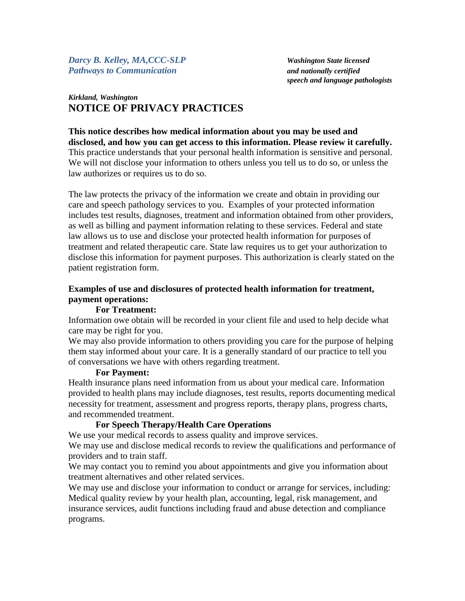*Darcy B. Kelley, MA,CCC-SLP Washington State licensed Pathways to Communication and nationally certified*

*speech and language pathologists*

# *Kirkland, Washington* **NOTICE OF PRIVACY PRACTICES**

**This notice describes how medical information about you may be used and disclosed, and how you can get access to this information. Please review it carefully.** This practice understands that your personal health information is sensitive and personal. We will not disclose your information to others unless you tell us to do so, or unless the law authorizes or requires us to do so.

The law protects the privacy of the information we create and obtain in providing our care and speech pathology services to you. Examples of your protected information includes test results, diagnoses, treatment and information obtained from other providers, as well as billing and payment information relating to these services. Federal and state law allows us to use and disclose your protected health information for purposes of treatment and related therapeutic care. State law requires us to get your authorization to disclose this information for payment purposes. This authorization is clearly stated on the patient registration form.

# **Examples of use and disclosures of protected health information for treatment, payment operations:**

## **For Treatment:**

Information owe obtain will be recorded in your client file and used to help decide what care may be right for you.

We may also provide information to others providing you care for the purpose of helping them stay informed about your care. It is a generally standard of our practice to tell you of conversations we have with others regarding treatment.

#### **For Payment:**

Health insurance plans need information from us about your medical care. Information provided to health plans may include diagnoses, test results, reports documenting medical necessity for treatment, assessment and progress reports, therapy plans, progress charts, and recommended treatment.

## **For Speech Therapy/Health Care Operations**

We use your medical records to assess quality and improve services.

We may use and disclose medical records to review the qualifications and performance of providers and to train staff.

We may contact you to remind you about appointments and give you information about treatment alternatives and other related services.

We may use and disclose your information to conduct or arrange for services, including: Medical quality review by your health plan, accounting, legal, risk management, and insurance services, audit functions including fraud and abuse detection and compliance programs.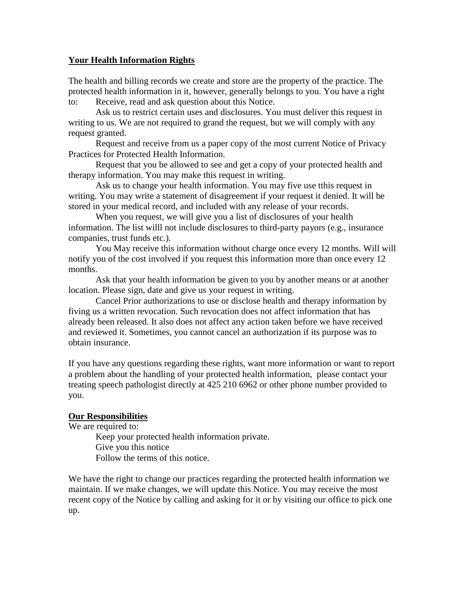#### **Your Health Information Rights**

The health and billing records we create and store are the property of the practice. The protected health information in it, however, generally belongs to you. You have a right to: Receive, read and ask question about this Notice.

Ask us to restrict certain uses and disclosures. You must deliver this request in writing to us. We are not required to grand the request, but we will comply with any request granted.

Request and receive from us a paper copy of the most current Notice of Privacy Practices for Protected Health Information.

Request that you be allowed to see and get a copy of your protected health and therapy information. You may make this request in writing.

Ask us to change your health information. You may five use tthis request in writing. You may write a statement of disagreement if your request it denied. It will be stored in your medical record, and included with any release of your records.

When you request, we will give you a list of disclosures of your health information. The list willl not include disclosures to third-party payors (e.g., insurance companies, trust funds etc.).

You May receive this information without charge once every 12 months. Will will notify you of the cost involved if you request this information more than once every 12 months.

Ask that your health information be given to you by another means or at another location. Please sign, date and give us your request in writing.

Cancel Prior authorizations to use or disclose health and therapy information by fiving us a written revocation. Such revocation does not affect information that has already been released. It also does not affect any action taken before we have received and reviewed it. Sometimes, you cannot cancel an authorization if its purpose was to obtain insurance.

If you have any questions regarding these rights, want more information or want to report a problem about the handling of your protected health information, please contact your treating speech pathologist directly at 425 210 6962 or other phone number provided to you.

## **Our Responsibilities**

We are required to:

Keep your protected health information private. Give you this notice Follow the terms of this notice.

We have the right to change our practices regarding the protected health information we maintain. If we make changes, we will update this Notice. You may receive the most recent copy of the Notice by calling and asking for it or by visiting our office to pick one up.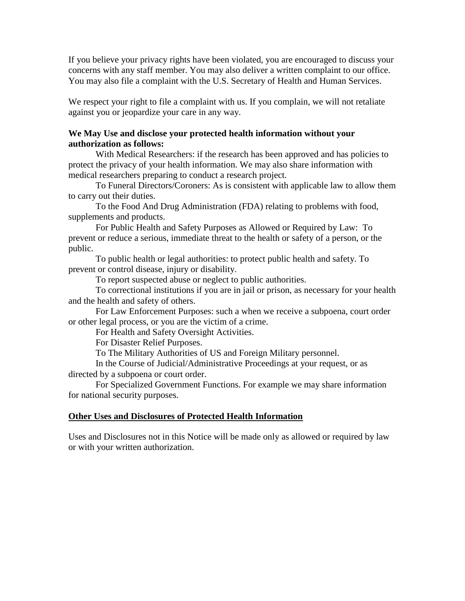If you believe your privacy rights have been violated, you are encouraged to discuss your concerns with any staff member. You may also deliver a written complaint to our office. You may also file a complaint with the U.S. Secretary of Health and Human Services.

We respect your right to file a complaint with us. If you complain, we will not retaliate against you or jeopardize your care in any way.

#### **We May Use and disclose your protected health information without your authorization as follows:**

With Medical Researchers: if the research has been approved and has policies to protect the privacy of your health information. We may also share information with medical researchers preparing to conduct a research project.

To Funeral Directors/Coroners: As is consistent with applicable law to allow them to carry out their duties.

To the Food And Drug Administration (FDA) relating to problems with food, supplements and products.

For Public Health and Safety Purposes as Allowed or Required by Law: To prevent or reduce a serious, immediate threat to the health or safety of a person, or the public.

To public health or legal authorities: to protect public health and safety. To prevent or control disease, injury or disability.

To report suspected abuse or neglect to public authorities.

To correctional institutions if you are in jail or prison, as necessary for your health and the health and safety of others.

For Law Enforcement Purposes: such a when we receive a subpoena, court order or other legal process, or you are the victim of a crime.

For Health and Safety Oversight Activities.

For Disaster Relief Purposes.

To The Military Authorities of US and Foreign Military personnel.

In the Course of Judicial/Administrative Proceedings at your request, or as directed by a subpoena or court order.

For Specialized Government Functions. For example we may share information for national security purposes.

## **Other Uses and Disclosures of Protected Health Information**

Uses and Disclosures not in this Notice will be made only as allowed or required by law or with your written authorization.